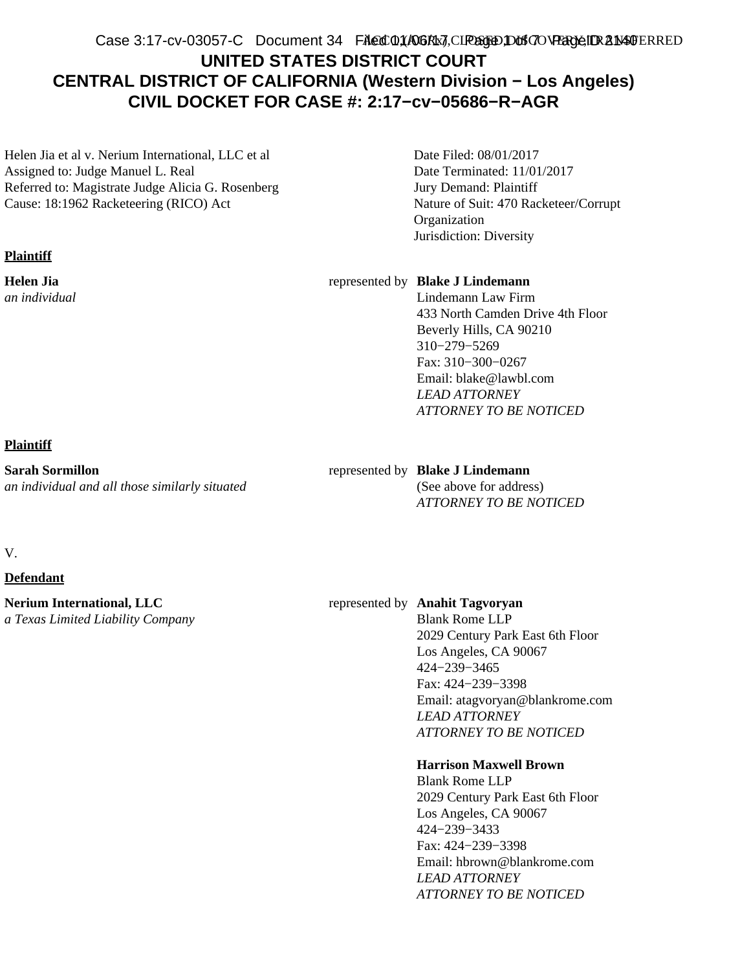#### ACCO,(AGRx7,CI**P&JDDtS7OVERYE,IDRANSF**ERRED Case 3:17-cv-03057-C Document 34 FAed 01/A06Rb3, CIREGED Dons ON Page IDR 21 Mad

## **UNITED STATES DISTRICT COURT CENTRAL DISTRICT OF CALIFORNIA (Western Division − Los Angeles) CIVIL DOCKET FOR CASE #: 2:17−cv−05686−R−AGR**

Helen Jia et al v. Nerium International, LLC et al Assigned to: Judge Manuel L. Real Referred to: Magistrate Judge Alicia G. Rosenberg Cause: 18:1962 Racketeering (RICO) Act

#### **Plaintiff**

**Helen Jia** *an individual* Date Filed: 08/01/2017 Date Terminated: 11/01/2017 Jury Demand: Plaintiff Nature of Suit: 470 Racketeer/Corrupt Organization Jurisdiction: Diversity

#### represented by **Blake J Lindemann**

Lindemann Law Firm 433 North Camden Drive 4th Floor Beverly Hills, CA 90210 310−279−5269 Fax: 310−300−0267 Email: blake@lawbl.com *LEAD ATTORNEY ATTORNEY TO BE NOTICED*

#### **Plaintiff**

**Sarah Sormillon** *an individual and all those similarly situated*

#### represented by **Blake J Lindemann**

(See above for address) *ATTORNEY TO BE NOTICED*

#### V.

#### **Defendant**

**Nerium International, LLC** *a Texas Limited Liability Company*

#### represented by **Anahit Tagvoryan**

Blank Rome LLP 2029 Century Park East 6th Floor Los Angeles, CA 90067 424−239−3465 Fax: 424−239−3398 Email: atagvoryan@blankrome.com *LEAD ATTORNEY ATTORNEY TO BE NOTICED*

#### **Harrison Maxwell Brown**

Blank Rome LLP 2029 Century Park East 6th Floor Los Angeles, CA 90067 424−239−3433 Fax: 424−239−3398 Email: hbrown@blankrome.com *LEAD ATTORNEY ATTORNEY TO BE NOTICED*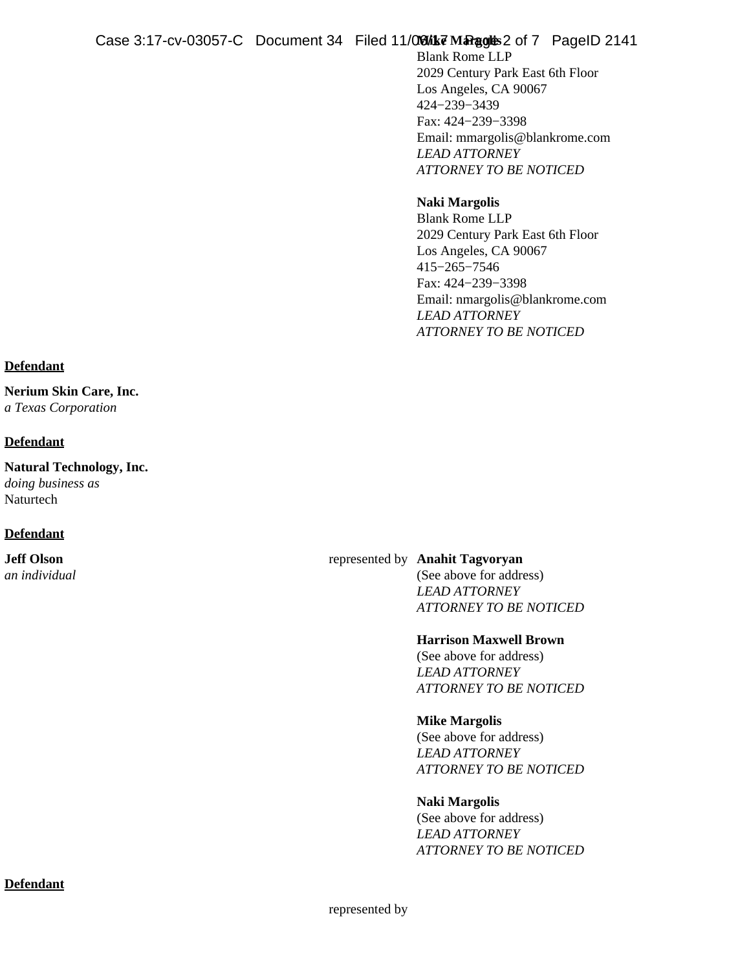#### **Mike Margolis** Case 3:17-cv-03057-C Document 34 Filed  $11/\Omega$  Gik  $\vec{v}$  Margor  $\hat{v}$  2 of 7 PageID 2141

Blank Rome LLP 2029 Century Park East 6th Floor Los Angeles, CA 90067 424−239−3439 Fax: 424−239−3398 Email: mmargolis@blankrome.com *LEAD ATTORNEY ATTORNEY TO BE NOTICED*

#### **Naki Margolis** Blank Rome LLP 2029 Century Park East 6th Floor Los Angeles, CA 90067 415−265−7546 Fax: 424−239−3398 Email: nmargolis@blankrome.com *LEAD ATTORNEY ATTORNEY TO BE NOTICED*

#### **Defendant**

**Nerium Skin Care, Inc.** *a Texas Corporation*

#### **Defendant**

**Natural Technology, Inc.** *doing business as* Naturtech

#### **Defendant**

**Jeff Olson** *an individual*

#### represented by **Anahit Tagvoryan**

(See above for address) *LEAD ATTORNEY ATTORNEY TO BE NOTICED*

#### **Harrison Maxwell Brown**

(See above for address) *LEAD ATTORNEY ATTORNEY TO BE NOTICED*

#### **Mike Margolis**

(See above for address) *LEAD ATTORNEY ATTORNEY TO BE NOTICED*

#### **Naki Margolis**

(See above for address) *LEAD ATTORNEY ATTORNEY TO BE NOTICED*

#### **Defendant**

represented by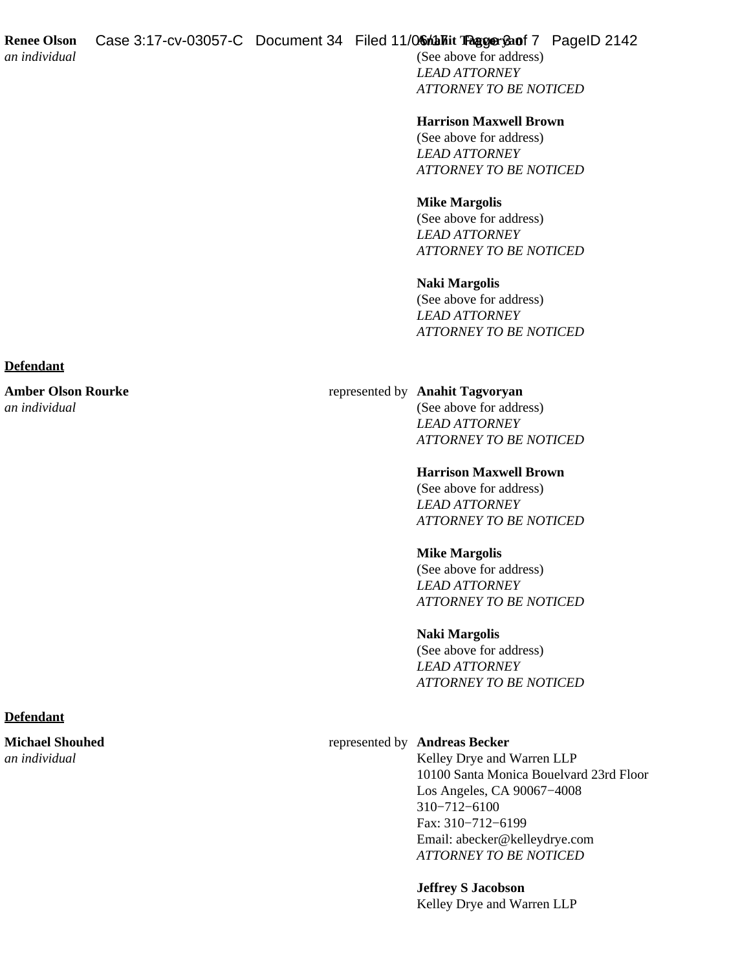**Renee Olson Anahit Tagvoryan** Case 3:17-cv-03057-C Document 34 Filed 11/06 http://www.pagentralian.com

(See above for address) *LEAD ATTORNEY ATTORNEY TO BE NOTICED*

**Harrison Maxwell Brown**

(See above for address) *LEAD ATTORNEY ATTORNEY TO BE NOTICED*

**Mike Margolis** (See above for address) *LEAD ATTORNEY ATTORNEY TO BE NOTICED*

**Naki Margolis** (See above for address) *LEAD ATTORNEY ATTORNEY TO BE NOTICED*

#### represented by **Anahit Tagvoryan**

(See above for address) *LEAD ATTORNEY ATTORNEY TO BE NOTICED*

#### **Harrison Maxwell Brown**

(See above for address) *LEAD ATTORNEY ATTORNEY TO BE NOTICED*

#### **Mike Margolis**

(See above for address) *LEAD ATTORNEY ATTORNEY TO BE NOTICED*

#### **Naki Margolis**

(See above for address) *LEAD ATTORNEY ATTORNEY TO BE NOTICED*

#### represented by **Andreas Becker**

Kelley Drye and Warren LLP 10100 Santa Monica Bouelvard 23rd Floor Los Angeles, CA 90067−4008 310−712−6100 Fax: 310−712−6199 Email: abecker@kelleydrye.com *ATTORNEY TO BE NOTICED*

**Jeffrey S Jacobson**

Kelley Drye and Warren LLP

#### **Defendant**

**Amber Olson Rourke** *an individual*

#### **Defendant**

**Michael Shouhed** *an individual*

# *an individual*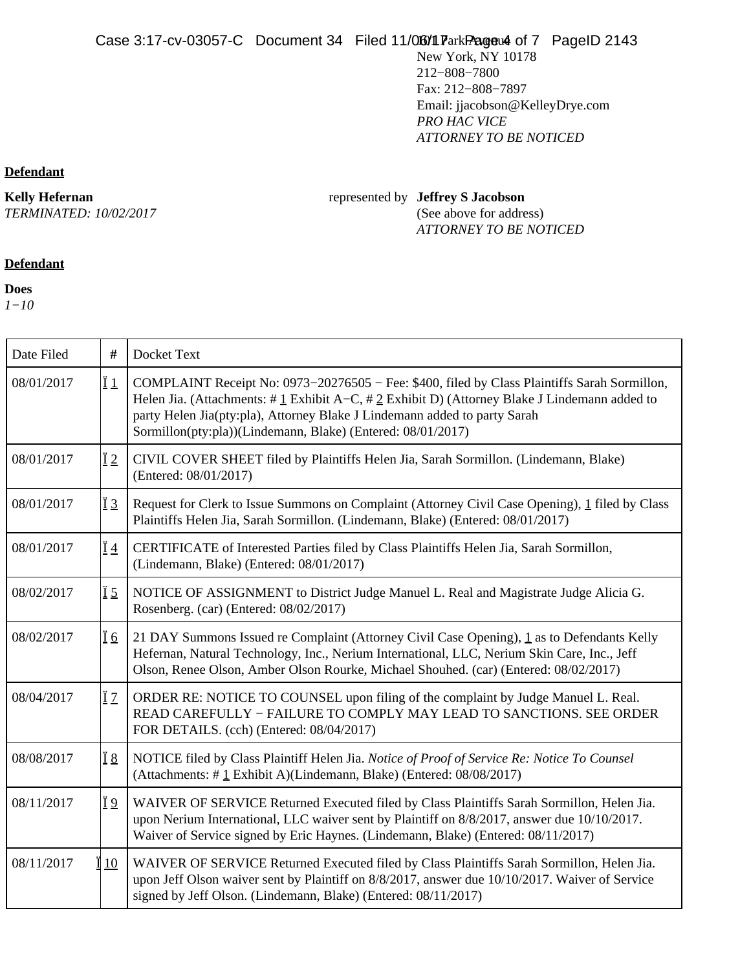New York, NY 10178 212−808−7800 Fax: 212−808−7897 Email: jjacobson@KelleyDrye.com *PRO HAC VICE ATTORNEY TO BE NOTICED*

### **Defendant**

**Kelly Hefernan**

*TERMINATED: 10/02/2017*

Т

Т

#### represented by **Jeffrey S Jacobson** (See above for address) *ATTORNEY TO BE NOTICED*

## **Defendant**

**Does**

*1−10*

| Date Filed | #                | Docket Text                                                                                                                                                                                                                                                                                                                                     |
|------------|------------------|-------------------------------------------------------------------------------------------------------------------------------------------------------------------------------------------------------------------------------------------------------------------------------------------------------------------------------------------------|
| 08/01/2017 | Ϊ1               | COMPLAINT Receipt No: 0973-20276505 - Fee: \$400, filed by Class Plaintiffs Sarah Sormillon,<br>Helen Jia. (Attachments: $\#$ 1 Exhibit A–C, $\#$ 2 Exhibit D) (Attorney Blake J Lindemann added to<br>party Helen Jia(pty:pla), Attorney Blake J Lindemann added to party Sarah<br>Sormillon(pty:pla))(Lindemann, Blake) (Entered: 08/01/2017) |
| 08/01/2017 | $\overline{1}2$  | CIVIL COVER SHEET filed by Plaintiffs Helen Jia, Sarah Sormillon. (Lindemann, Blake)<br>(Entered: 08/01/2017)                                                                                                                                                                                                                                   |
| 08/01/2017 | <u>Ï3</u>        | Request for Clerk to Issue Summons on Complaint (Attorney Civil Case Opening), 1 filed by Class<br>Plaintiffs Helen Jia, Sarah Sormillon. (Lindemann, Blake) (Entered: 08/01/2017)                                                                                                                                                              |
| 08/01/2017 | <u>Ï4</u>        | CERTIFICATE of Interested Parties filed by Class Plaintiffs Helen Jia, Sarah Sormillon,<br>(Lindemann, Blake) (Entered: 08/01/2017)                                                                                                                                                                                                             |
| 08/02/2017 | Ï5               | NOTICE OF ASSIGNMENT to District Judge Manuel L. Real and Magistrate Judge Alicia G.<br>Rosenberg. (car) (Entered: 08/02/2017)                                                                                                                                                                                                                  |
| 08/02/2017 | $\overline{1}$ 6 | 21 DAY Summons Issued re Complaint (Attorney Civil Case Opening), 1 as to Defendants Kelly<br>Hefernan, Natural Technology, Inc., Nerium International, LLC, Nerium Skin Care, Inc., Jeff<br>Olson, Renee Olson, Amber Olson Rourke, Michael Shouhed. (car) (Entered: 08/02/2017)                                                               |
| 08/04/2017 | ÏΖ               | ORDER RE: NOTICE TO COUNSEL upon filing of the complaint by Judge Manuel L. Real.<br>READ CAREFULLY - FAILURE TO COMPLY MAY LEAD TO SANCTIONS. SEE ORDER<br>FOR DETAILS. (cch) (Entered: 08/04/2017)                                                                                                                                            |
| 08/08/2017 | <u>Ï 8</u>       | NOTICE filed by Class Plaintiff Helen Jia. Notice of Proof of Service Re: Notice To Counsel<br>(Attachments: #1 Exhibit A)(Lindemann, Blake) (Entered: 08/08/2017)                                                                                                                                                                              |
| 08/11/2017 | Ϊ9               | WAIVER OF SERVICE Returned Executed filed by Class Plaintiffs Sarah Sormillon, Helen Jia.<br>upon Nerium International, LLC waiver sent by Plaintiff on 8/8/2017, answer due 10/10/2017.<br>Waiver of Service signed by Eric Haynes. (Lindemann, Blake) (Entered: 08/11/2017)                                                                   |
| 08/11/2017 | 10               | WAIVER OF SERVICE Returned Executed filed by Class Plaintiffs Sarah Sormillon, Helen Jia.<br>upon Jeff Olson waiver sent by Plaintiff on 8/8/2017, answer due 10/10/2017. Waiver of Service<br>signed by Jeff Olson. (Lindemann, Blake) (Entered: 08/11/2017)                                                                                   |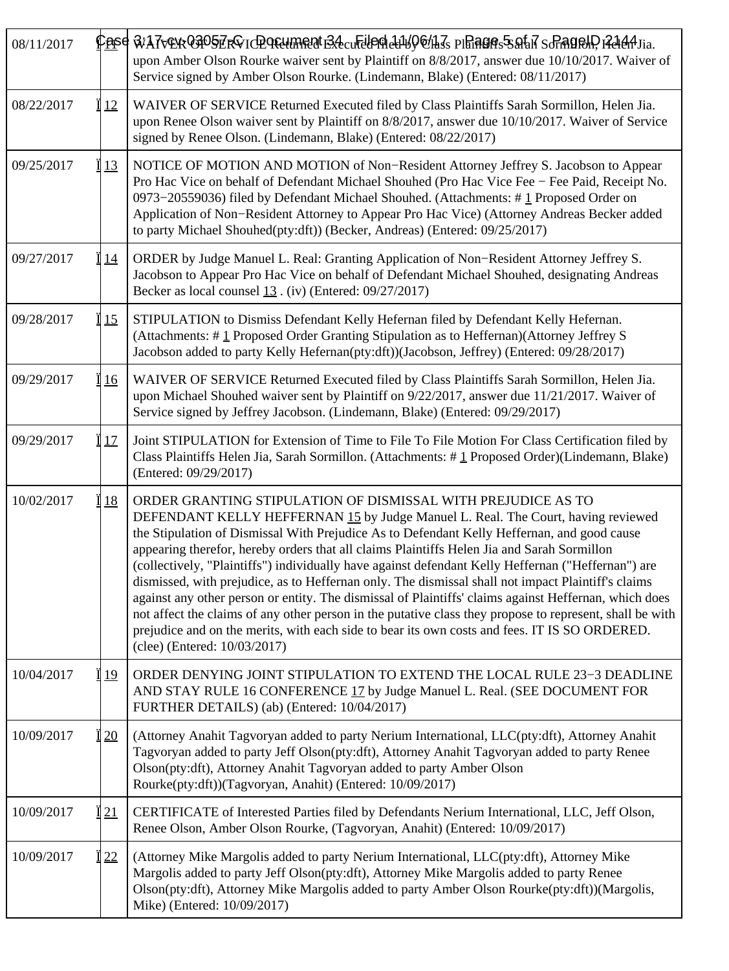| 08/11/2017 |           | <u>Pase WA7vEkO3D5ERQ10D9EUMRUTBAcuFUOGIAIWQO/LIs PIHAGA:5SAfaRSGAQDQDRAAJia.</u><br>upon Amber Olson Rourke waiver sent by Plaintiff on 8/8/2017, answer due 10/10/2017. Waiver of<br>Service signed by Amber Olson Rourke. (Lindemann, Blake) (Entered: 08/11/2017)                                                                                                                                                                                                                                                                                                                                                                                                                                                                                                                                                                                                                                           |
|------------|-----------|-----------------------------------------------------------------------------------------------------------------------------------------------------------------------------------------------------------------------------------------------------------------------------------------------------------------------------------------------------------------------------------------------------------------------------------------------------------------------------------------------------------------------------------------------------------------------------------------------------------------------------------------------------------------------------------------------------------------------------------------------------------------------------------------------------------------------------------------------------------------------------------------------------------------|
| 08/22/2017 | 12        | WAIVER OF SERVICE Returned Executed filed by Class Plaintiffs Sarah Sormillon, Helen Jia.<br>upon Renee Olson waiver sent by Plaintiff on 8/8/2017, answer due 10/10/2017. Waiver of Service<br>signed by Renee Olson. (Lindemann, Blake) (Entered: 08/22/2017)                                                                                                                                                                                                                                                                                                                                                                                                                                                                                                                                                                                                                                                 |
| 09/25/2017 | 13        | NOTICE OF MOTION AND MOTION of Non-Resident Attorney Jeffrey S. Jacobson to Appear<br>Pro Hac Vice on behalf of Defendant Michael Shouhed (Pro Hac Vice Fee – Fee Paid, Receipt No.<br>0973-20559036) filed by Defendant Michael Shouhed. (Attachments: #1 Proposed Order on<br>Application of Non-Resident Attorney to Appear Pro Hac Vice) (Attorney Andreas Becker added<br>to party Michael Shouhed(pty:dft)) (Becker, Andreas) (Entered: 09/25/2017)                                                                                                                                                                                                                                                                                                                                                                                                                                                       |
| 09/27/2017 | <u>14</u> | ORDER by Judge Manuel L. Real: Granting Application of Non-Resident Attorney Jeffrey S.<br>Jacobson to Appear Pro Hac Vice on behalf of Defendant Michael Shouhed, designating Andreas<br>Becker as local counsel $13$ . (iv) (Entered: 09/27/2017)                                                                                                                                                                                                                                                                                                                                                                                                                                                                                                                                                                                                                                                             |
| 09/28/2017 | 15        | STIPULATION to Dismiss Defendant Kelly Hefernan filed by Defendant Kelly Hefernan.<br>(Attachments: #1 Proposed Order Granting Stipulation as to Heffernan)(Attorney Jeffrey S<br>Jacobson added to party Kelly Hefernan(pty:dft))(Jacobson, Jeffrey) (Entered: 09/28/2017)                                                                                                                                                                                                                                                                                                                                                                                                                                                                                                                                                                                                                                     |
| 09/29/2017 | <u>16</u> | WAIVER OF SERVICE Returned Executed filed by Class Plaintiffs Sarah Sormillon, Helen Jia.<br>upon Michael Shouhed waiver sent by Plaintiff on 9/22/2017, answer due 11/21/2017. Waiver of<br>Service signed by Jeffrey Jacobson. (Lindemann, Blake) (Entered: 09/29/2017)                                                                                                                                                                                                                                                                                                                                                                                                                                                                                                                                                                                                                                       |
| 09/29/2017 | 17        | Joint STIPULATION for Extension of Time to File To File Motion For Class Certification filed by<br>Class Plaintiffs Helen Jia, Sarah Sormillon. (Attachments: #1 Proposed Order)(Lindemann, Blake)<br>(Entered: 09/29/2017)                                                                                                                                                                                                                                                                                                                                                                                                                                                                                                                                                                                                                                                                                     |
| 10/02/2017 | <u>18</u> | ORDER GRANTING STIPULATION OF DISMISSAL WITH PREJUDICE AS TO<br>DEFENDANT KELLY HEFFERNAN 15 by Judge Manuel L. Real. The Court, having reviewed<br>the Stipulation of Dismissal With Prejudice As to Defendant Kelly Heffernan, and good cause<br>appearing therefor, hereby orders that all claims Plaintiffs Helen Jia and Sarah Sormillon<br>(collectively, "Plaintiffs") individually have against defendant Kelly Heffernan ("Heffernan") are<br>dismissed, with prejudice, as to Heffernan only. The dismissal shall not impact Plaintiff's claims<br>against any other person or entity. The dismissal of Plaintiffs' claims against Heffernan, which does<br>not affect the claims of any other person in the putative class they propose to represent, shall be with<br>prejudice and on the merits, with each side to bear its own costs and fees. IT IS SO ORDERED.<br>(clee) (Entered: 10/03/2017) |
| 10/04/2017 | 19        | ORDER DENYING JOINT STIPULATION TO EXTEND THE LOCAL RULE 23-3 DEADLINE<br>AND STAY RULE 16 CONFERENCE 17 by Judge Manuel L. Real. (SEE DOCUMENT FOR<br>FURTHER DETAILS) (ab) (Entered: 10/04/2017)                                                                                                                                                                                                                                                                                                                                                                                                                                                                                                                                                                                                                                                                                                              |
| 10/09/2017 | 20        | (Attorney Anahit Tagvoryan added to party Nerium International, LLC(pty:dft), Attorney Anahit<br>Tagvoryan added to party Jeff Olson(pty:dft), Attorney Anahit Tagvoryan added to party Renee<br>Olson(pty:dft), Attorney Anahit Tagvoryan added to party Amber Olson<br>Rourke(pty:dft))(Tagvoryan, Anahit) (Entered: 10/09/2017)                                                                                                                                                                                                                                                                                                                                                                                                                                                                                                                                                                              |
| 10/09/2017 | 121       | CERTIFICATE of Interested Parties filed by Defendants Nerium International, LLC, Jeff Olson,<br>Renee Olson, Amber Olson Rourke, (Tagvoryan, Anahit) (Entered: 10/09/2017)                                                                                                                                                                                                                                                                                                                                                                                                                                                                                                                                                                                                                                                                                                                                      |
| 10/09/2017 | 22        | (Attorney Mike Margolis added to party Nerium International, LLC(pty:dft), Attorney Mike<br>Margolis added to party Jeff Olson(pty:dft), Attorney Mike Margolis added to party Renee<br>Olson(pty:dft), Attorney Mike Margolis added to party Amber Olson Rourke(pty:dft))(Margolis,<br>Mike) (Entered: 10/09/2017)                                                                                                                                                                                                                                                                                                                                                                                                                                                                                                                                                                                             |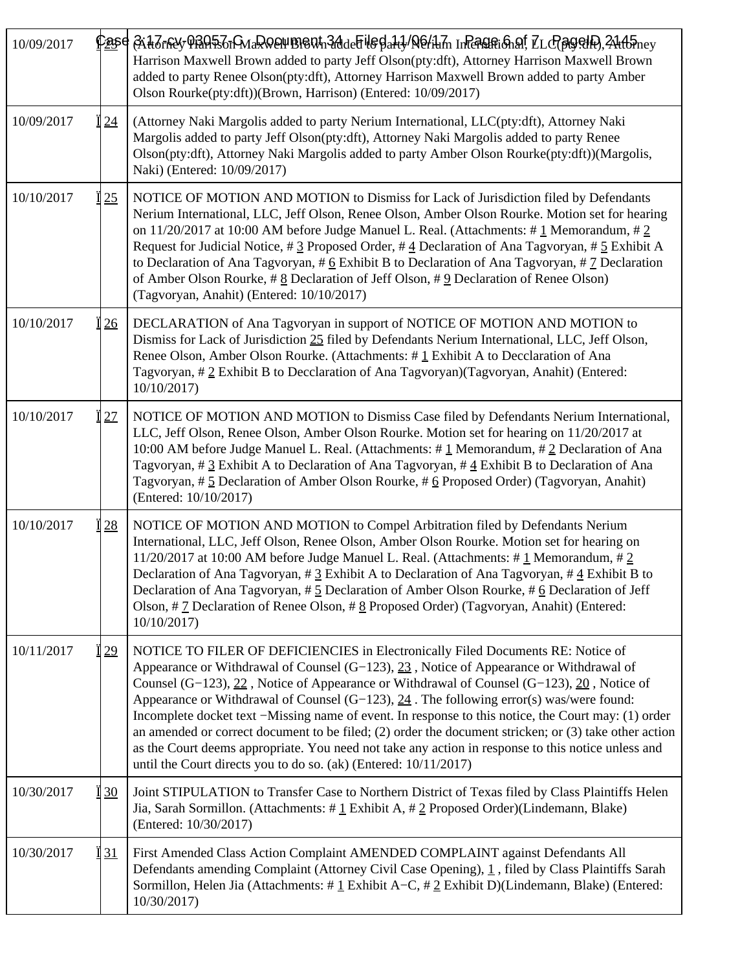| 10/09/2017 |    | <u>Pøs</u> e A.tt.Trfdy Pfa95.TrMaR0044B160tn3ddeFil6Batd/N6/ilm InFerafri⁡, ZLcP@99.HP),24tt5ney<br>Harrison Maxwell Brown added to party Jeff Olson(pty:dft), Attorney Harrison Maxwell Brown<br>added to party Renee Olson(pty:dft), Attorney Harrison Maxwell Brown added to party Amber<br>Olson Rourke(pty:dft))(Brown, Harrison) (Entered: 10/09/2017)                                                                                                                                                                                                                                                                                                                                                                                                               |
|------------|----|-----------------------------------------------------------------------------------------------------------------------------------------------------------------------------------------------------------------------------------------------------------------------------------------------------------------------------------------------------------------------------------------------------------------------------------------------------------------------------------------------------------------------------------------------------------------------------------------------------------------------------------------------------------------------------------------------------------------------------------------------------------------------------|
| 10/09/2017 | 24 | (Attorney Naki Margolis added to party Nerium International, LLC(pty:dft), Attorney Naki<br>Margolis added to party Jeff Olson(pty:dft), Attorney Naki Margolis added to party Renee<br>Olson(pty:dft), Attorney Naki Margolis added to party Amber Olson Rourke(pty:dft))(Margolis,<br>Naki) (Entered: 10/09/2017)                                                                                                                                                                                                                                                                                                                                                                                                                                                         |
| 10/10/2017 | 25 | NOTICE OF MOTION AND MOTION to Dismiss for Lack of Jurisdiction filed by Defendants<br>Nerium International, LLC, Jeff Olson, Renee Olson, Amber Olson Rourke. Motion set for hearing<br>on 11/20/2017 at 10:00 AM before Judge Manuel L. Real. (Attachments: $\#$ 1 Memorandum, $\#$ 2<br>Request for Judicial Notice, # $\frac{3}{2}$ Proposed Order, # $\frac{4}{2}$ Declaration of Ana Tagyoryan, # $\frac{5}{2}$ Exhibit A<br>to Declaration of Ana Tagvoryan, $\#$ 6 Exhibit B to Declaration of Ana Tagvoryan, $\#$ 7 Declaration<br>of Amber Olson Rourke, # $\underline{8}$ Declaration of Jeff Olson, # $\underline{9}$ Declaration of Renee Olson)<br>(Tagvoryan, Anahit) (Entered: 10/10/2017)                                                                  |
| 10/10/2017 | 26 | DECLARATION of Ana Tagvoryan in support of NOTICE OF MOTION AND MOTION to<br>Dismiss for Lack of Jurisdiction 25 filed by Defendants Nerium International, LLC, Jeff Olson,<br>Renee Olson, Amber Olson Rourke. (Attachments: $\# \underline{1}$ Exhibit A to Decclaration of Ana<br>Tagvoryan, #2 Exhibit B to Decclaration of Ana Tagvoryan)(Tagvoryan, Anahit) (Entered:<br>10/10/2017)                                                                                                                                                                                                                                                                                                                                                                                  |
| 10/10/2017 | 27 | NOTICE OF MOTION AND MOTION to Dismiss Case filed by Defendants Nerium International,<br>LLC, Jeff Olson, Renee Olson, Amber Olson Rourke. Motion set for hearing on 11/20/2017 at<br>10:00 AM before Judge Manuel L. Real. (Attachments: #1 Memorandum, #2 Declaration of Ana<br>Tagvoryan, # 3 Exhibit A to Declaration of Ana Tagvoryan, # 4 Exhibit B to Declaration of Ana<br>Tagvoryan, # 5 Declaration of Amber Olson Rourke, # 6 Proposed Order) (Tagvoryan, Anahit)<br>(Entered: 10/10/2017)                                                                                                                                                                                                                                                                       |
| 10/10/2017 | 28 | NOTICE OF MOTION AND MOTION to Compel Arbitration filed by Defendants Nerium<br>International, LLC, Jeff Olson, Renee Olson, Amber Olson Rourke. Motion set for hearing on<br>11/20/2017 at 10:00 AM before Judge Manuel L. Real. (Attachments: $\#$ 1 Memorandum, $\#$ 2<br>Declaration of Ana Tagvoryan, # $3$ Exhibit A to Declaration of Ana Tagvoryan, # $4$ Exhibit B to<br>Declaration of Ana Tagvoryan, #5 Declaration of Amber Olson Rourke, #6 Declaration of Jeff<br>Olson, $\#$ $\mathcal{I}$ Declaration of Renee Olson, $\#$ $\mathcal{S}$ Proposed Order) (Tagvoryan, Anahit) (Entered:<br>10/10/2017                                                                                                                                                        |
| 10/11/2017 | 29 | NOTICE TO FILER OF DEFICIENCIES in Electronically Filed Documents RE: Notice of<br>Appearance or Withdrawal of Counsel $(G-123)$ , $23$ , Notice of Appearance or Withdrawal of<br>Counsel (G-123), 22, Notice of Appearance or Withdrawal of Counsel (G-123), 20, Notice of<br>Appearance or Withdrawal of Counsel $(G-123)$ , $24$ . The following error(s) was/were found:<br>Incomplete docket text –Missing name of event. In response to this notice, the Court may: (1) order<br>an amended or correct document to be filed; $(2)$ order the document stricken; or $(3)$ take other action<br>as the Court deems appropriate. You need not take any action in response to this notice unless and<br>until the Court directs you to do so. (ak) (Entered: 10/11/2017) |
| 10/30/2017 | 30 | Joint STIPULATION to Transfer Case to Northern District of Texas filed by Class Plaintiffs Helen<br>Jia, Sarah Sormillon. (Attachments: # $1$ Exhibit A, # 2 Proposed Order)(Lindemann, Blake)<br>(Entered: 10/30/2017)                                                                                                                                                                                                                                                                                                                                                                                                                                                                                                                                                     |
| 10/30/2017 | 31 | First Amended Class Action Complaint AMENDED COMPLAINT against Defendants All<br>Defendants amending Complaint (Attorney Civil Case Opening), 1, filed by Class Plaintiffs Sarah<br>Sormillon, Helen Jia (Attachments: # $1$ Exhibit A–C, # $2$ Exhibit D)(Lindemann, Blake) (Entered:<br>10/30/2017)                                                                                                                                                                                                                                                                                                                                                                                                                                                                       |